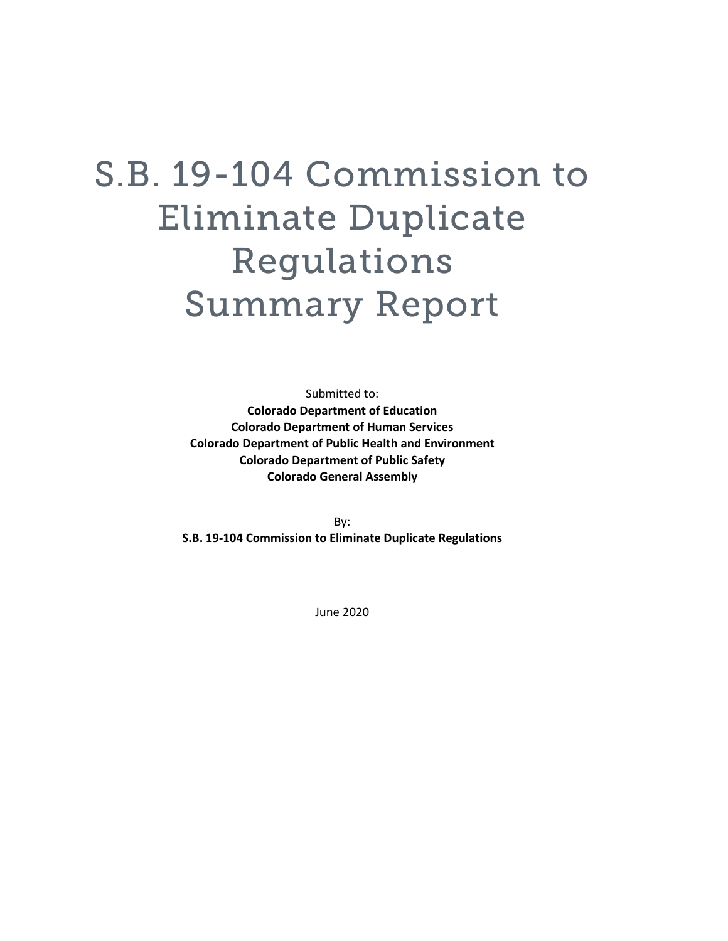# S.B. 19-104 Commission to Eliminate Duplicate Regulations Summary Report

Submitted to: **Colorado Department of Education Colorado Department of Human Services Colorado Department of Public Health and Environment Colorado Department of Public Safety Colorado General Assembly**

By: **S.B. 19-104 Commission to Eliminate Duplicate Regulations**

June 2020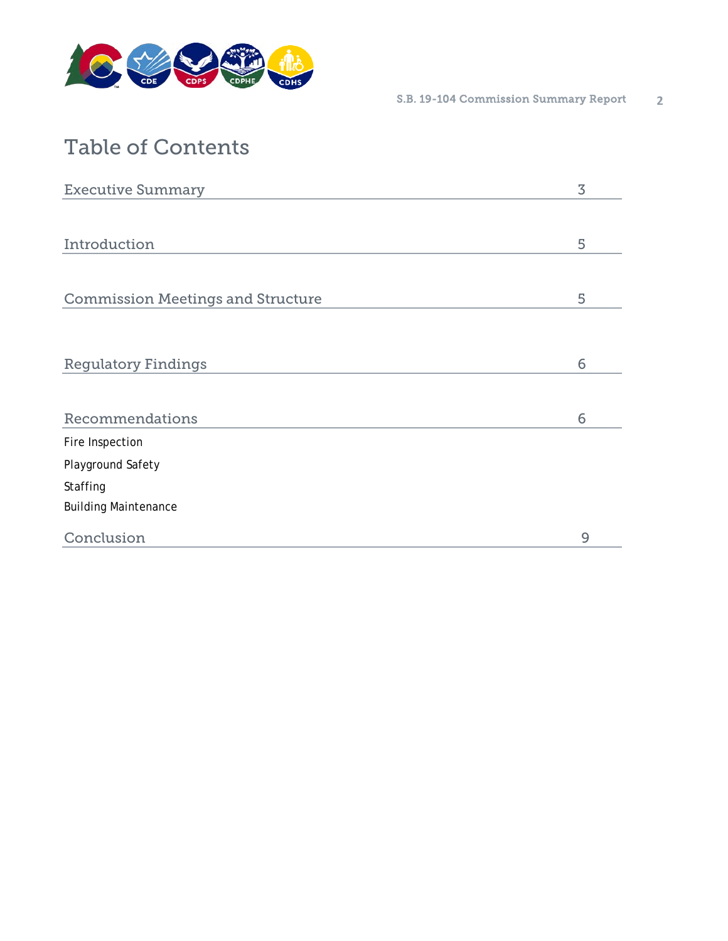

# Table of Contents

| <b>Executive Summary</b>                 | 3 |
|------------------------------------------|---|
|                                          |   |
| Introduction                             | 5 |
|                                          |   |
| <b>Commission Meetings and Structure</b> | 5 |
|                                          |   |
|                                          |   |
| <b>Regulatory Findings</b>               | 6 |
|                                          |   |
| Recommendations                          | 6 |
| Fire Inspection                          |   |
| Playground Safety                        |   |
| Staffing                                 |   |
| <b>Building Maintenance</b>              |   |
| Conclusion                               | 9 |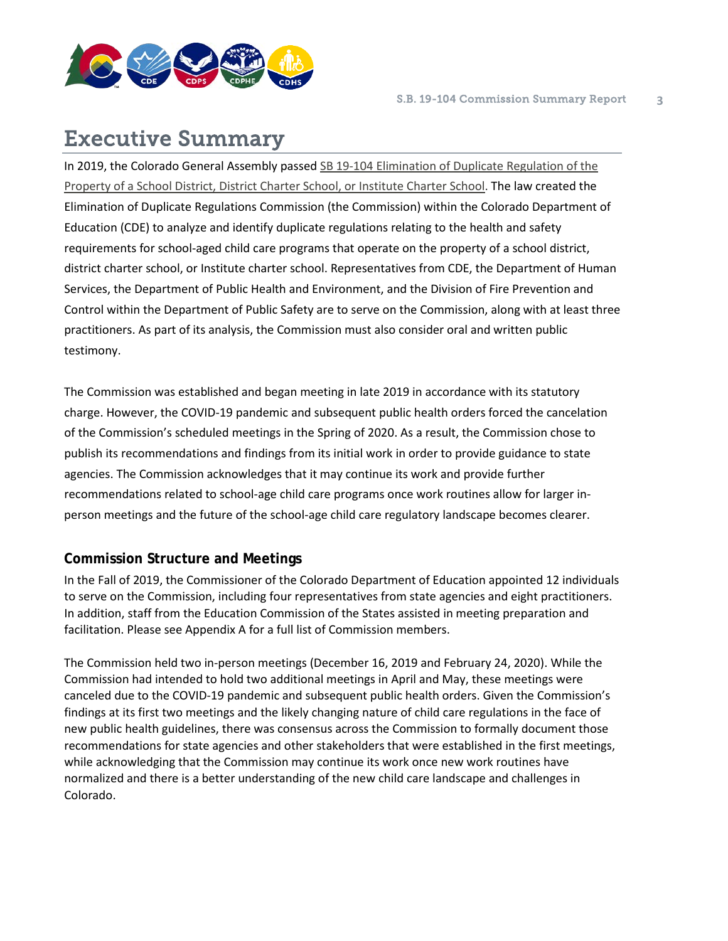

# Executive Summary

In 2019, the Colorado General Assembly passed [SB 19-104 Elimination of Duplicate Regulation of the](http://leg.colorado.gov/sites/default/files/2019a_104_signed.pdf)  [Property of a School District, District Charter School, or Institute Charter School.](http://leg.colorado.gov/sites/default/files/2019a_104_signed.pdf) The law created the Elimination of Duplicate Regulations Commission (the Commission) within the Colorado Department of Education (CDE) to analyze and identify duplicate regulations relating to the health and safety requirements for school-aged child care programs that operate on the property of a school district, district charter school, or Institute charter school. Representatives from CDE, the Department of Human Services, the Department of Public Health and Environment, and the Division of Fire Prevention and Control within the Department of Public Safety are to serve on the Commission, along with at least three practitioners. As part of its analysis, the Commission must also consider oral and written public testimony.

The Commission was established and began meeting in late 2019 in accordance with its statutory charge. However, the COVID-19 pandemic and subsequent public health orders forced the cancelation of the Commission's scheduled meetings in the Spring of 2020. As a result, the Commission chose to publish its recommendations and findings from its initial work in order to provide guidance to state agencies. The Commission acknowledges that it may continue its work and provide further recommendations related to school-age child care programs once work routines allow for larger inperson meetings and the future of the school-age child care regulatory landscape becomes clearer.

## **Commission Structure and Meetings**

In the Fall of 2019, the Commissioner of the Colorado Department of Education appointed 12 individuals to serve on the Commission, including four representatives from state agencies and eight practitioners. In addition, staff from the Education Commission of the States assisted in meeting preparation and facilitation. Please see Appendix A for a full list of Commission members.

The Commission held two in-person meetings (December 16, 2019 and February 24, 2020). While the Commission had intended to hold two additional meetings in April and May, these meetings were canceled due to the COVID-19 pandemic and subsequent public health orders. Given the Commission's findings at its first two meetings and the likely changing nature of child care regulations in the face of new public health guidelines, there was consensus across the Commission to formally document those recommendations for state agencies and other stakeholders that were established in the first meetings, while acknowledging that the Commission may continue its work once new work routines have normalized and there is a better understanding of the new child care landscape and challenges in Colorado.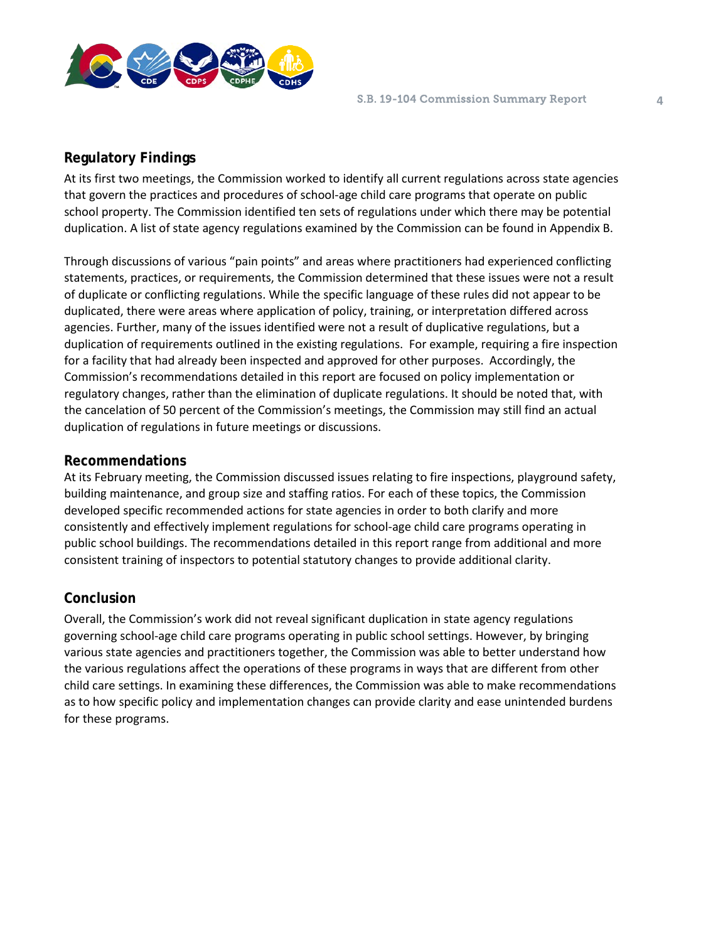

#### **Regulatory Findings**

At its first two meetings, the Commission worked to identify all current regulations across state agencies that govern the practices and procedures of school-age child care programs that operate on public school property. The Commission identified ten sets of regulations under which there may be potential duplication. A list of state agency regulations examined by the Commission can be found in Appendix B.

Through discussions of various "pain points" and areas where practitioners had experienced conflicting statements, practices, or requirements, the Commission determined that these issues were not a result of duplicate or conflicting regulations. While the specific language of these rules did not appear to be duplicated, there were areas where application of policy, training, or interpretation differed across agencies. Further, many of the issues identified were not a result of duplicative regulations, but a duplication of requirements outlined in the existing regulations. For example, requiring a fire inspection for a facility that had already been inspected and approved for other purposes. Accordingly, the Commission's recommendations detailed in this report are focused on policy implementation or regulatory changes, rather than the elimination of duplicate regulations. It should be noted that, with the cancelation of 50 percent of the Commission's meetings, the Commission may still find an actual duplication of regulations in future meetings or discussions.

#### **Recommendations**

At its February meeting, the Commission discussed issues relating to fire inspections, playground safety, building maintenance, and group size and staffing ratios. For each of these topics, the Commission developed specific recommended actions for state agencies in order to both clarify and more consistently and effectively implement regulations for school-age child care programs operating in public school buildings. The recommendations detailed in this report range from additional and more consistent training of inspectors to potential statutory changes to provide additional clarity.

#### **Conclusion**

Overall, the Commission's work did not reveal significant duplication in state agency regulations governing school-age child care programs operating in public school settings. However, by bringing various state agencies and practitioners together, the Commission was able to better understand how the various regulations affect the operations of these programs in ways that are different from other child care settings. In examining these differences, the Commission was able to make recommendations as to how specific policy and implementation changes can provide clarity and ease unintended burdens for these programs.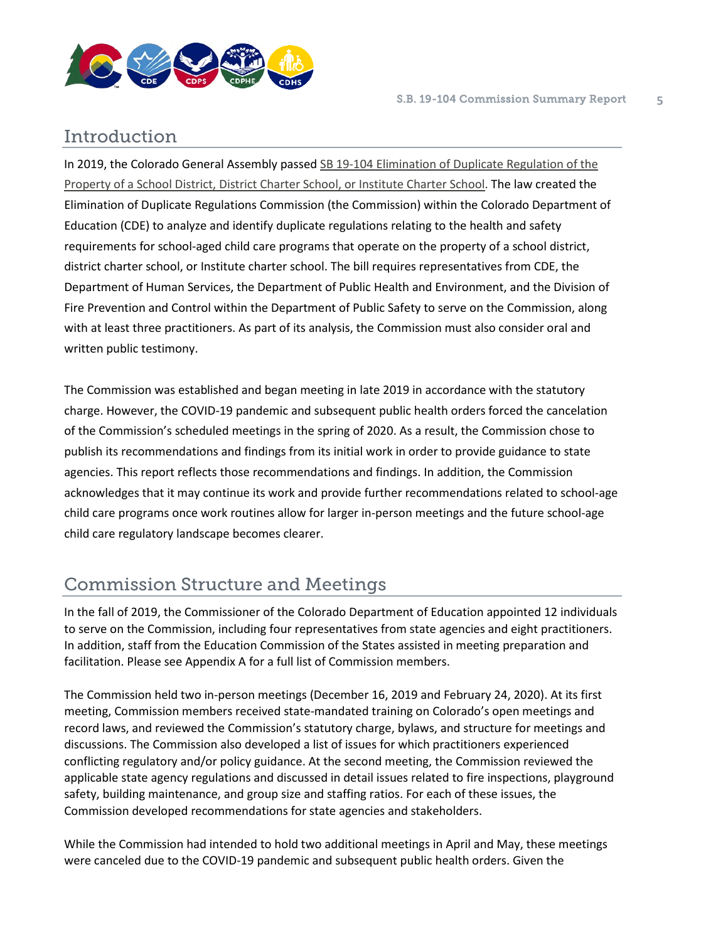

## Introduction

In 2019, the Colorado General Assembly passed [SB 19-104 Elimination of Duplicate Regulation of the](http://leg.colorado.gov/sites/default/files/2019a_104_signed.pdf)  [Property of a School District, District Charter School, or Institute Charter School.](http://leg.colorado.gov/sites/default/files/2019a_104_signed.pdf) The law created the Elimination of Duplicate Regulations Commission (the Commission) within the Colorado Department of Education (CDE) to analyze and identify duplicate regulations relating to the health and safety requirements for school-aged child care programs that operate on the property of a school district, district charter school, or Institute charter school. The bill requires representatives from CDE, the Department of Human Services, the Department of Public Health and Environment, and the Division of Fire Prevention and Control within the Department of Public Safety to serve on the Commission, along with at least three practitioners. As part of its analysis, the Commission must also consider oral and written public testimony.

The Commission was established and began meeting in late 2019 in accordance with the statutory charge. However, the COVID-19 pandemic and subsequent public health orders forced the cancelation of the Commission's scheduled meetings in the spring of 2020. As a result, the Commission chose to publish its recommendations and findings from its initial work in order to provide guidance to state agencies. This report reflects those recommendations and findings. In addition, the Commission acknowledges that it may continue its work and provide further recommendations related to school-age child care programs once work routines allow for larger in-person meetings and the future school-age child care regulatory landscape becomes clearer.

## Commission Structure and Meetings

In the fall of 2019, the Commissioner of the Colorado Department of Education appointed 12 individuals to serve on the Commission, including four representatives from state agencies and eight practitioners. In addition, staff from the Education Commission of the States assisted in meeting preparation and facilitation. Please see Appendix A for a full list of Commission members.

The Commission held two in-person meetings (December 16, 2019 and February 24, 2020). At its first meeting, Commission members received state-mandated training on Colorado's open meetings and record laws, and reviewed the Commission's statutory charge, bylaws, and structure for meetings and discussions. The Commission also developed a list of issues for which practitioners experienced conflicting regulatory and/or policy guidance. At the second meeting, the Commission reviewed the applicable state agency regulations and discussed in detail issues related to fire inspections, playground safety, building maintenance, and group size and staffing ratios. For each of these issues, the Commission developed recommendations for state agencies and stakeholders.

While the Commission had intended to hold two additional meetings in April and May, these meetings were canceled due to the COVID-19 pandemic and subsequent public health orders. Given the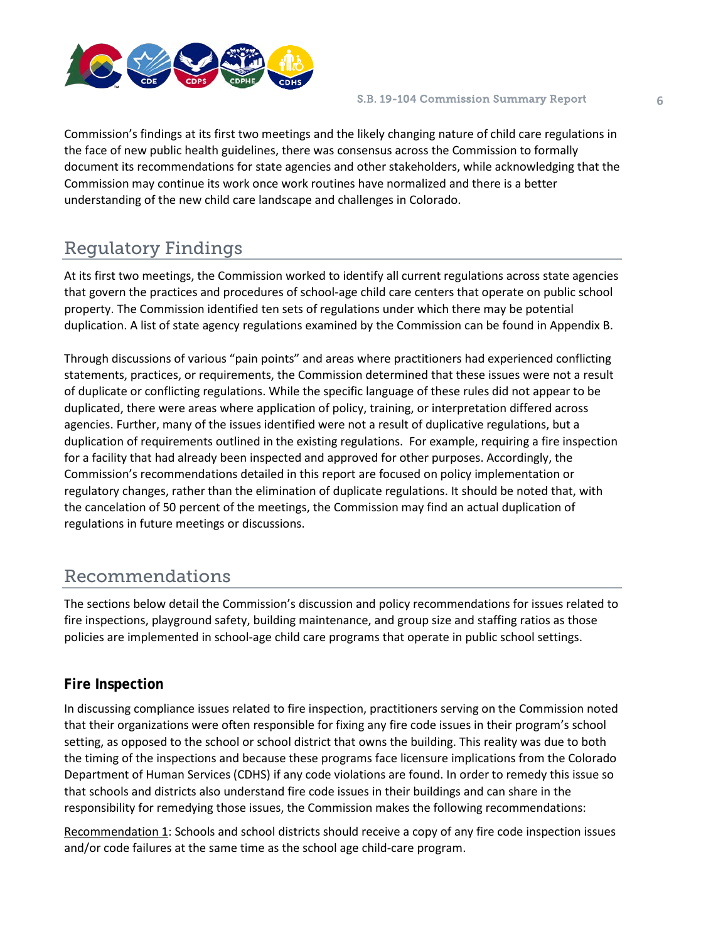

Commission's findings at its first two meetings and the likely changing nature of child care regulations in the face of new public health guidelines, there was consensus across the Commission to formally document its recommendations for state agencies and other stakeholders, while acknowledging that the Commission may continue its work once work routines have normalized and there is a better understanding of the new child care landscape and challenges in Colorado.

## Regulatory Findings

At its first two meetings, the Commission worked to identify all current regulations across state agencies that govern the practices and procedures of school-age child care centers that operate on public school property. The Commission identified ten sets of regulations under which there may be potential duplication. A list of state agency regulations examined by the Commission can be found in Appendix B.

Through discussions of various "pain points" and areas where practitioners had experienced conflicting statements, practices, or requirements, the Commission determined that these issues were not a result of duplicate or conflicting regulations. While the specific language of these rules did not appear to be duplicated, there were areas where application of policy, training, or interpretation differed across agencies. Further, many of the issues identified were not a result of duplicative regulations, but a duplication of requirements outlined in the existing regulations. For example, requiring a fire inspection for a facility that had already been inspected and approved for other purposes. Accordingly, the Commission's recommendations detailed in this report are focused on policy implementation or regulatory changes, rather than the elimination of duplicate regulations. It should be noted that, with the cancelation of 50 percent of the meetings, the Commission may find an actual duplication of regulations in future meetings or discussions.

## Recommendations

The sections below detail the Commission's discussion and policy recommendations for issues related to fire inspections, playground safety, building maintenance, and group size and staffing ratios as those policies are implemented in school-age child care programs that operate in public school settings.

## **Fire Inspection**

In discussing compliance issues related to fire inspection, practitioners serving on the Commission noted that their organizations were often responsible for fixing any fire code issues in their program's school setting, as opposed to the school or school district that owns the building. This reality was due to both the timing of the inspections and because these programs face licensure implications from the Colorado Department of Human Services (CDHS) if any code violations are found. In order to remedy this issue so that schools and districts also understand fire code issues in their buildings and can share in the responsibility for remedying those issues, the Commission makes the following recommendations:

Recommendation 1: Schools and school districts should receive a copy of any fire code inspection issues and/or code failures at the same time as the school age child-care program.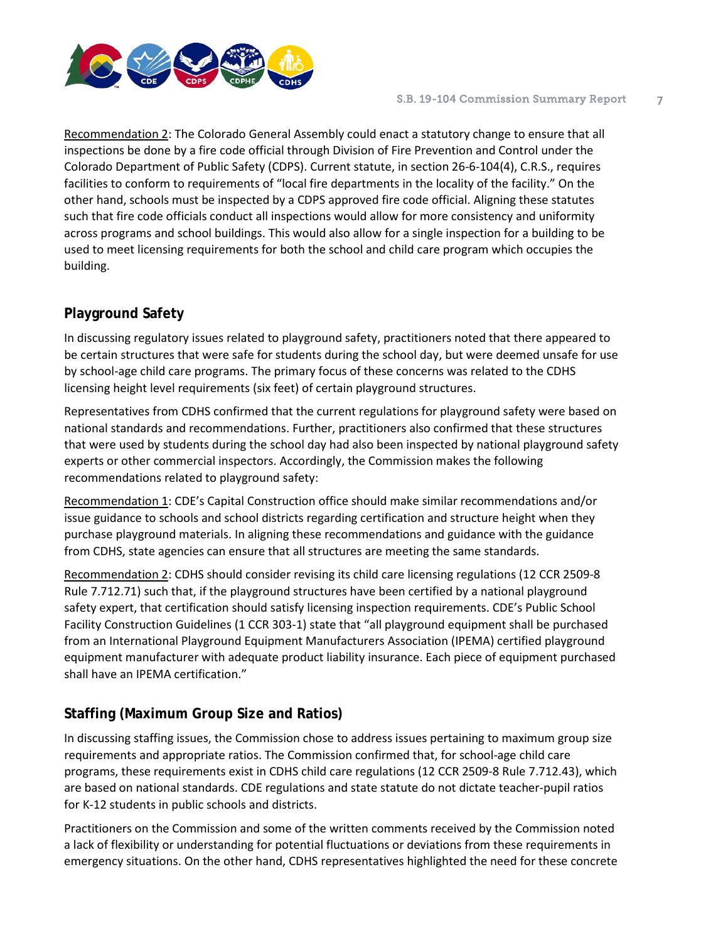

Recommendation 2: The Colorado General Assembly could enact a statutory change to ensure that all inspections be done by a fire code official through Division of Fire Prevention and Control under the Colorado Department of Public Safety (CDPS). Current statute, in section 26-6-104(4), C.R.S., requires facilities to conform to requirements of "local fire departments in the locality of the facility." On the other hand, schools must be inspected by a CDPS approved fire code official. Aligning these statutes such that fire code officials conduct all inspections would allow for more consistency and uniformity across programs and school buildings. This would also allow for a single inspection for a building to be used to meet licensing requirements for both the school and child care program which occupies the building.

## **Playground Safety**

In discussing regulatory issues related to playground safety, practitioners noted that there appeared to be certain structures that were safe for students during the school day, but were deemed unsafe for use by school-age child care programs. The primary focus of these concerns was related to the CDHS licensing height level requirements (six feet) of certain playground structures.

Representatives from CDHS confirmed that the current regulations for playground safety were based on national standards and recommendations. Further, practitioners also confirmed that these structures that were used by students during the school day had also been inspected by national playground safety experts or other commercial inspectors. Accordingly, the Commission makes the following recommendations related to playground safety:

Recommendation 1: CDE's Capital Construction office should make similar recommendations and/or issue guidance to schools and school districts regarding certification and structure height when they purchase playground materials. In aligning these recommendations and guidance with the guidance from CDHS, state agencies can ensure that all structures are meeting the same standards.

Recommendation 2: CDHS should consider revising its child care licensing regulations (12 CCR 2509-8 Rule 7.712.71) such that, if the playground structures have been certified by a national playground safety expert, that certification should satisfy licensing inspection requirements. CDE's Public School Facility Construction Guidelines (1 CCR 303-1) state that "all playground equipment shall be purchased from an International Playground Equipment Manufacturers Association (IPEMA) certified playground equipment manufacturer with adequate product liability insurance. Each piece of equipment purchased shall have an IPEMA certification."

## **Staffing (Maximum Group Size and Ratios)**

In discussing staffing issues, the Commission chose to address issues pertaining to maximum group size requirements and appropriate ratios. The Commission confirmed that, for school-age child care programs, these requirements exist in CDHS child care regulations (12 CCR 2509-8 Rule 7.712.43), which are based on national standards. CDE regulations and state statute do not dictate teacher-pupil ratios for K-12 students in public schools and districts.

Practitioners on the Commission and some of the written comments received by the Commission noted a lack of flexibility or understanding for potential fluctuations or deviations from these requirements in emergency situations. On the other hand, CDHS representatives highlighted the need for these concrete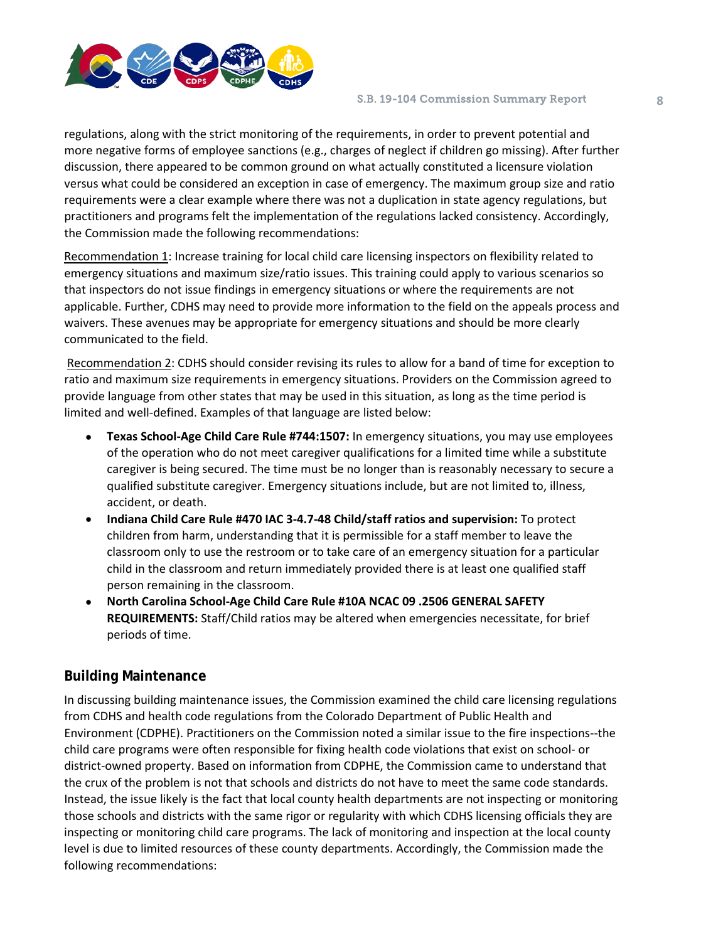

#### S.B. 19-104 Commission Summary Report **8**

regulations, along with the strict monitoring of the requirements, in order to prevent potential and more negative forms of employee sanctions (e.g., charges of neglect if children go missing). After further discussion, there appeared to be common ground on what actually constituted a licensure violation versus what could be considered an exception in case of emergency. The maximum group size and ratio requirements were a clear example where there was not a duplication in state agency regulations, but practitioners and programs felt the implementation of the regulations lacked consistency. Accordingly, the Commission made the following recommendations:

Recommendation 1: Increase training for local child care licensing inspectors on flexibility related to emergency situations and maximum size/ratio issues. This training could apply to various scenarios so that inspectors do not issue findings in emergency situations or where the requirements are not applicable. Further, CDHS may need to provide more information to the field on the appeals process and waivers. These avenues may be appropriate for emergency situations and should be more clearly communicated to the field.

Recommendation 2: CDHS should consider revising its rules to allow for a band of time for exception to ratio and maximum size requirements in emergency situations. Providers on the Commission agreed to provide language from other states that may be used in this situation, as long as the time period is limited and well-defined. Examples of that language are listed below:

- **Texas School-Age Child Care Rule #744:1507:** In emergency situations, you may use employees of the operation who do not meet caregiver qualifications for a limited time while a substitute caregiver is being secured. The time must be no longer than is reasonably necessary to secure a qualified substitute caregiver. Emergency situations include, but are not limited to, illness, accident, or death.
- **Indiana Child Care Rule #470 IAC 3-4.7-48 Child/staff ratios and supervision:** To protect children from harm, understanding that it is permissible for a staff member to leave the classroom only to use the restroom or to take care of an emergency situation for a particular child in the classroom and return immediately provided there is at least one qualified staff person remaining in the classroom.
- **North Carolina School-Age Child Care Rule #10A NCAC 09 .2506 GENERAL SAFETY REQUIREMENTS:** Staff/Child ratios may be altered when emergencies necessitate, for brief periods of time.

#### **Building Maintenance**

In discussing building maintenance issues, the Commission examined the child care licensing regulations from CDHS and health code regulations from the Colorado Department of Public Health and Environment (CDPHE). Practitioners on the Commission noted a similar issue to the fire inspections--the child care programs were often responsible for fixing health code violations that exist on school- or district-owned property. Based on information from CDPHE, the Commission came to understand that the crux of the problem is not that schools and districts do not have to meet the same code standards. Instead, the issue likely is the fact that local county health departments are not inspecting or monitoring those schools and districts with the same rigor or regularity with which CDHS licensing officials they are inspecting or monitoring child care programs. The lack of monitoring and inspection at the local county level is due to limited resources of these county departments. Accordingly, the Commission made the following recommendations: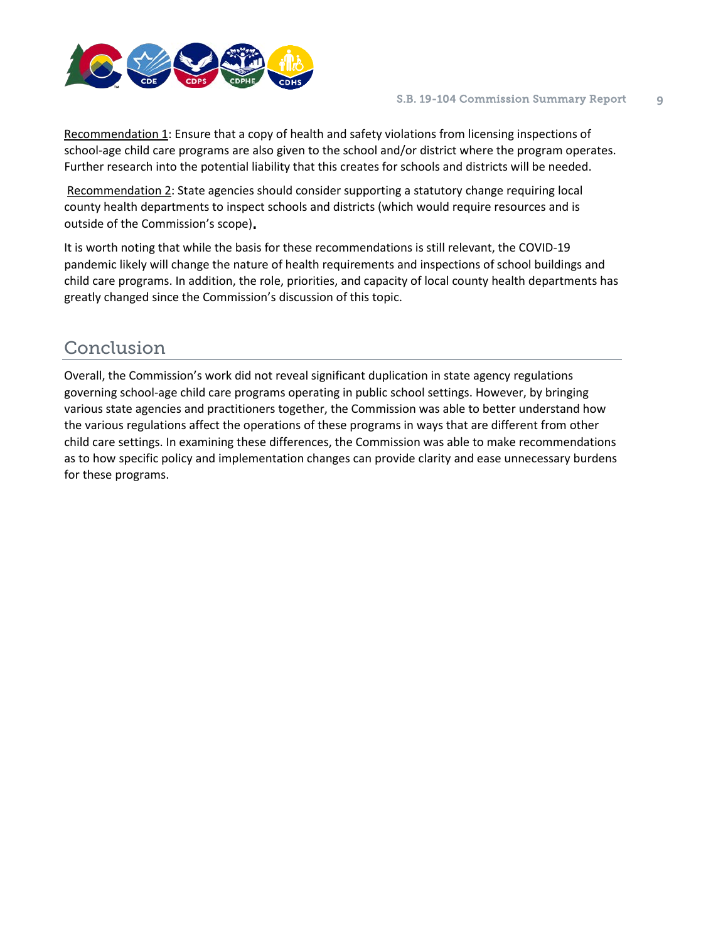

Recommendation 1: Ensure that a copy of health and safety violations from licensing inspections of school-age child care programs are also given to the school and/or district where the program operates. Further research into the potential liability that this creates for schools and districts will be needed.

Recommendation 2: State agencies should consider supporting a statutory change requiring local county health departments to inspect schools and districts (which would require resources and is outside of the Commission's scope)**.** 

It is worth noting that while the basis for these recommendations is still relevant, the COVID-19 pandemic likely will change the nature of health requirements and inspections of school buildings and child care programs. In addition, the role, priorities, and capacity of local county health departments has greatly changed since the Commission's discussion of this topic.

## Conclusion

Overall, the Commission's work did not reveal significant duplication in state agency regulations governing school-age child care programs operating in public school settings. However, by bringing various state agencies and practitioners together, the Commission was able to better understand how the various regulations affect the operations of these programs in ways that are different from other child care settings. In examining these differences, the Commission was able to make recommendations as to how specific policy and implementation changes can provide clarity and ease unnecessary burdens for these programs.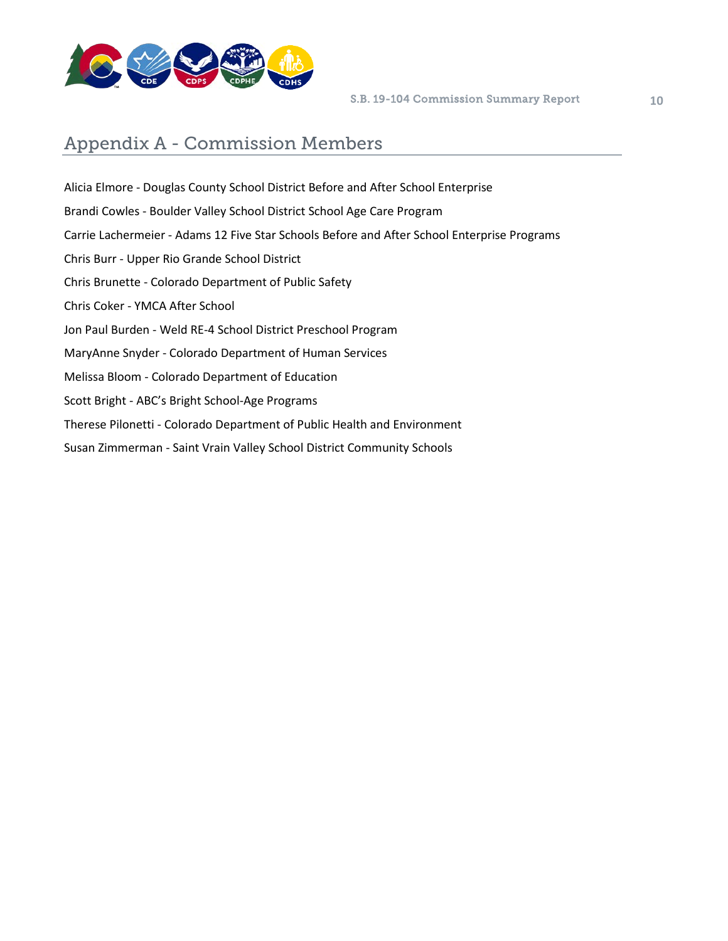

## Appendix A - Commission Members

Alicia Elmore - Douglas County School District Before and After School Enterprise Brandi Cowles - Boulder Valley School District School Age Care Program Carrie Lachermeier - Adams 12 Five Star Schools Before and After School Enterprise Programs Chris Burr - Upper Rio Grande School District Chris Brunette - Colorado Department of Public Safety Chris Coker - YMCA After School Jon Paul Burden - Weld RE-4 School District Preschool Program MaryAnne Snyder - Colorado Department of Human Services Melissa Bloom - Colorado Department of Education Scott Bright - ABC's Bright School-Age Programs Therese Pilonetti - Colorado Department of Public Health and Environment Susan Zimmerman - Saint Vrain Valley School District Community Schools